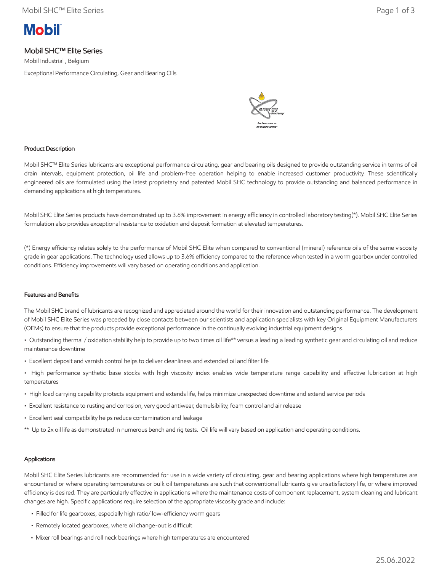# **Mobil**

# Mobil SHC™ Elite Series

Mobil Industrial , Belgium

Exceptional Performance Circulating, Gear and Bearing Oils



### Product Description

Mobil SHC™ Elite Series lubricants are exceptional performance circulating, gear and bearing oils designed to provide outstanding service in terms of oil drain intervals, equipment protection, oil life and problem-free operation helping to enable increased customer productivity. These scientifically engineered oils are formulated using the latest proprietary and patented Mobil SHC technology to provide outstanding and balanced performance in demanding applications at high temperatures.

Mobil SHC Elite Series products have demonstrated up to 3.6% improvement in energy efficiency in controlled laboratory testing(\*). Mobil SHC Elite Series formulation also provides exceptional resistance to oxidation and deposit formation at elevated temperatures.

(\*) Energy efficiency relates solely to the performance of Mobil SHC Elite when compared to conventional (mineral) reference oils of the same viscosity grade in gear applications. The technology used allows up to 3.6% efficiency compared to the reference when tested in a worm gearbox under controlled conditions. Efficiency improvements will vary based on operating conditions and application.

#### Features and Benefits

The Mobil SHC brand of lubricants are recognized and appreciated around the world for their innovation and outstanding performance. The development of Mobil SHC Elite Series was preceded by close contacts between our scientists and application specialists with key Original Equipment Manufacturers (OEMs) to ensure that the products provide exceptional performance in the continually evolving industrial equipment designs.

• Outstanding thermal / oxidation stability help to provide up to two times oil life\*\* versus a leading a leading synthetic gear and circulating oil and reduce maintenance downtime

- Excellent deposit and varnish control helps to deliver cleanliness and extended oil and filter life
- High performance synthetic base stocks with high viscosity index enables wide temperature range capability and effective lubrication at high temperatures
- High load carrying capability protects equipment and extends life, helps minimize unexpected downtime and extend service periods
- Excellent resistance to rusting and corrosion, very good antiwear, demulsibility, foam control and air release
- Excellent seal compatibility helps reduce contamination and leakage
- \*\* Up to 2x oil life as demonstrated in numerous bench and rig tests. Oil life will vary based on application and operating conditions.

### Applications

Mobil SHC Elite Series lubricants are recommended for use in a wide variety of circulating, gear and bearing applications where high temperatures are encountered or where operating temperatures or bulk oil temperatures are such that conventional lubricants give unsatisfactory life, or where improved efficiency is desired. They are particularly effective in applications where the maintenance costs of component replacement, system cleaning and lubricant changes are high. Specific applications require selection of the appropriate viscosity grade and include:

- Filled for life gearboxes, especially high ratio/ low-efficiency worm gears
- Remotely located gearboxes, where oil change-out is difficult
- Mixer roll bearings and roll neck bearings where high temperatures are encountered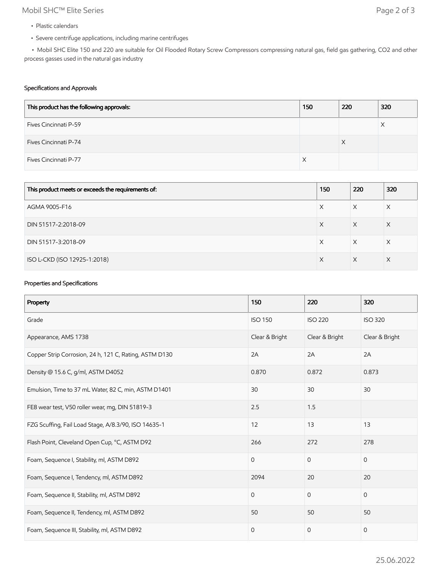# Mobil SHC™ Elite Series Page 2 of 3

- Plastic calendars
- Severe centrifuge applications, including marine centrifuges

 • Mobil SHC Elite 150 and 220 are suitable for Oil Flooded Rotary Screw Compressors compressing natural gas, field gas gathering, CO2 and other process gasses used in the natural gas industry

### Specifications and Approvals

| This product has the following approvals: | 150 | 220 | 320 |
|-------------------------------------------|-----|-----|-----|
| Fives Cincinnati P-59                     |     |     | Х   |
| Fives Cincinnati P-74                     |     | X   |     |
| Fives Cincinnati P-77                     |     |     |     |

| This product meets or exceeds the requirements of: | 150 | 220 | 320 |
|----------------------------------------------------|-----|-----|-----|
| AGMA 9005-F16                                      | Х   | X   | X   |
| DIN 51517-2:2018-09                                | X   | X   | Χ   |
| DIN 51517-3:2018-09                                | Х   | X   | X   |
| ISO L-CKD (ISO 12925-1:2018)                       | X   | X   | X   |

## Properties and Specifications

| Property                                               | 150            | 220            | 320            |
|--------------------------------------------------------|----------------|----------------|----------------|
| Grade                                                  | <b>ISO 150</b> | <b>ISO 220</b> | <b>ISO 320</b> |
| Appearance, AMS 1738                                   | Clear & Bright | Clear & Bright | Clear & Bright |
| Copper Strip Corrosion, 24 h, 121 C, Rating, ASTM D130 | 2A             | 2A             | 2A             |
| Density @ 15.6 C, g/ml, ASTM D4052                     | 0.870          | 0.872          | 0.873          |
| Emulsion, Time to 37 mL Water, 82 C, min, ASTM D1401   | 30             | 30             | 30             |
| FE8 wear test, V50 roller wear, mg, DIN 51819-3        | 2.5            | 1.5            |                |
| FZG Scuffing, Fail Load Stage, A/8.3/90, ISO 14635-1   | 12             | 13             | 13             |
| Flash Point, Cleveland Open Cup, °C, ASTM D92          | 266            | 272            | 278            |
| Foam, Sequence I, Stability, ml, ASTM D892             | $\mathbf 0$    | $\mathbf 0$    | $\mathbf{0}$   |
| Foam, Sequence I, Tendency, ml, ASTM D892              | 2094           | 20             | 20             |
| Foam, Sequence II, Stability, ml, ASTM D892            | $\mathbf 0$    | $\mathbf{0}$   | $\mathbf{0}$   |
| Foam, Sequence II, Tendency, ml, ASTM D892             | 50             | 50             | 50             |
| Foam, Sequence III, Stability, ml, ASTM D892           | $\mathbf 0$    | $\mathbf{0}$   | $\mathbf 0$    |